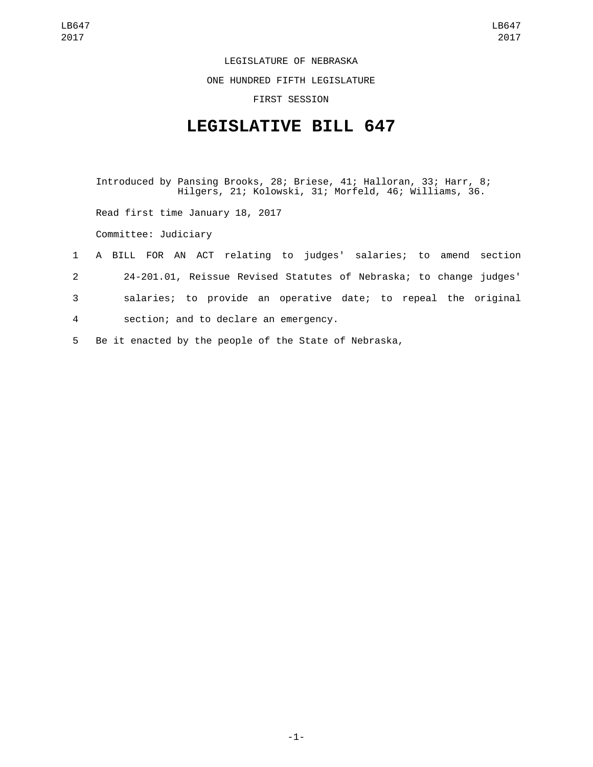LEGISLATURE OF NEBRASKA

ONE HUNDRED FIFTH LEGISLATURE

FIRST SESSION

## **LEGISLATIVE BILL 647**

Introduced by Pansing Brooks, 28; Briese, 41; Halloran, 33; Harr, 8; Hilgers, 21; Kolowski, 31; Morfeld, 46; Williams, 36.

Read first time January 18, 2017

Committee: Judiciary

- 1 A BILL FOR AN ACT relating to judges' salaries; to amend section 2 24-201.01, Reissue Revised Statutes of Nebraska; to change judges' 3 salaries; to provide an operative date; to repeal the original 4 section; and to declare an emergency.
- 5 Be it enacted by the people of the State of Nebraska,